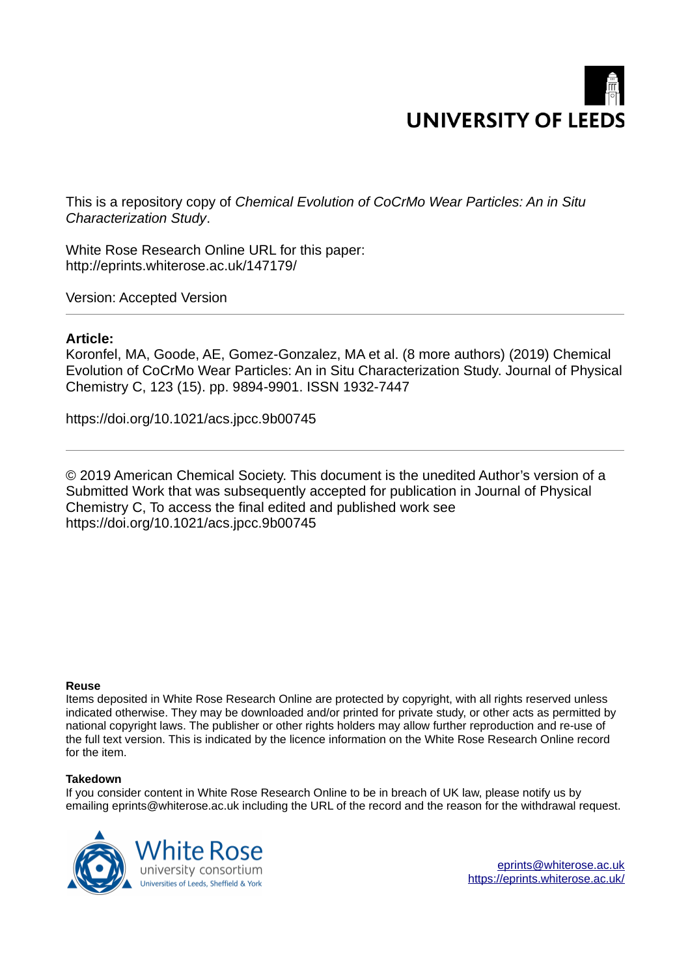

This is a repository copy of *Chemical Evolution of CoCrMo Wear Particles: An in Situ Characterization Study*.

White Rose Research Online URL for this paper: http://eprints.whiterose.ac.uk/147179/

Version: Accepted Version

## **Article:**

Koronfel, MA, Goode, AE, Gomez-Gonzalez, MA et al. (8 more authors) (2019) Chemical Evolution of CoCrMo Wear Particles: An in Situ Characterization Study. Journal of Physical Chemistry C, 123 (15). pp. 9894-9901. ISSN 1932-7447

https://doi.org/10.1021/acs.jpcc.9b00745

© 2019 American Chemical Society. This document is the unedited Author's version of a Submitted Work that was subsequently accepted for publication in Journal of Physical Chemistry C, To access the final edited and published work see https://doi.org/10.1021/acs.jpcc.9b00745

#### **Reuse**

Items deposited in White Rose Research Online are protected by copyright, with all rights reserved unless indicated otherwise. They may be downloaded and/or printed for private study, or other acts as permitted by national copyright laws. The publisher or other rights holders may allow further reproduction and re-use of the full text version. This is indicated by the licence information on the White Rose Research Online record for the item.

#### **Takedown**

If you consider content in White Rose Research Online to be in breach of UK law, please notify us by emailing eprints@whiterose.ac.uk including the URL of the record and the reason for the withdrawal request.

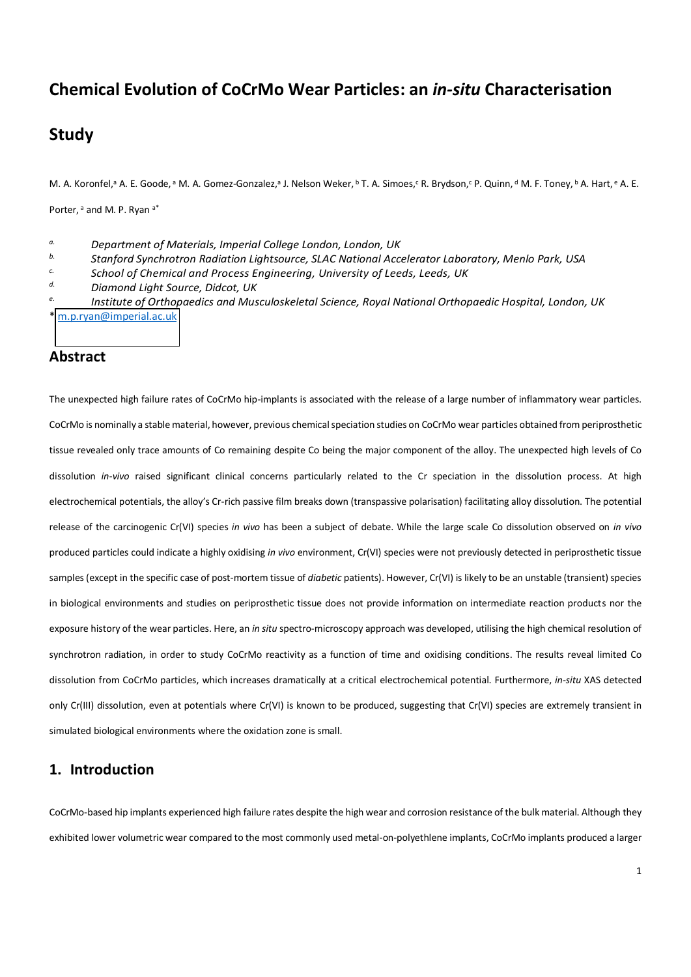# **Chemical Evolution of CoCrMo Wear Particles: an** *in-situ* **Characterisation**

# **Study**

M. A. Koronfel,<sup>a</sup> A. E. Goode, <sup>a</sup> M. A. Gomez-Gonzalez,<sup>a</sup> J. Nelson Weker, <sup>b</sup> T. A. Simoes, R. Brydson, CP. Quinn, d M. F. Toney, b A. Hart, e A. E.

Porter, a and M. P. Ryan a\*

*a. Department of Materials, Imperial College London, London, UK* 

- *b. Stanford Synchrotron Radiation Lightsource, SLAC National Accelerator Laboratory, Menlo Park, USA*
- *c. School of Chemical and Process Engineering, University of Leeds, Leeds, UK*

*d. Diamond Light Source, Didcot, UK* 

*e. Institute of Orthopaedics and Musculoskeletal Science, Royal National Orthopaedic Hospital, London, UK*  \* [m.p.ryan@imperial.ac.uk](mailto:m.p.ryan@imperial.ac.uk) 

## **Abstract**

The unexpected high failure rates of CoCrMo hip-implants is associated with the release of a large number of inflammatory wear particles. CoCrMo is nominally a stable material, however, previous chemical speciation studies on CoCrMo wear particles obtained from periprosthetic tissue revealed only trace amounts of Co remaining despite Co being the major component of the alloy. The unexpected high levels of Co dissolution *in-vivo* raised significant clinical concerns particularly related to the Cr speciation in the dissolution process. At high electrochemical potentials, the alloy's Cr-rich passive film breaks down (transpassive polarisation) facilitating alloy dissolution. The potential release of the carcinogenic Cr(VI) species *in vivo* has been a subject of debate. While the large scale Co dissolution observed on *in vivo* produced particles could indicate a highly oxidising *in vivo* environment, Cr(VI) species were not previously detected in periprosthetic tissue samples (except in the specific case of post-mortem tissue of *diabetic* patients). However, Cr(VI) is likely to be an unstable (transient) species in biological environments and studies on periprosthetic tissue does not provide information on intermediate reaction products nor the exposure history of the wear particles. Here, an *in situ* spectro-microscopy approach was developed, utilising the high chemical resolution of synchrotron radiation, in order to study CoCrMo reactivity as a function of time and oxidising conditions. The results reveal limited Co dissolution from CoCrMo particles, which increases dramatically at a critical electrochemical potential. Furthermore, *in-situ* XAS detected only Cr(III) dissolution, even at potentials where Cr(VI) is known to be produced, suggesting that Cr(VI) species are extremely transient in simulated biological environments where the oxidation zone is small.

## **1. Introduction**

CoCrMo-based hip implants experienced high failure rates despite the high wear and corrosion resistance of the bulk material. Although they exhibited lower volumetric wear compared to the most commonly used metal-on-polyethlene implants, CoCrMo implants produced a larger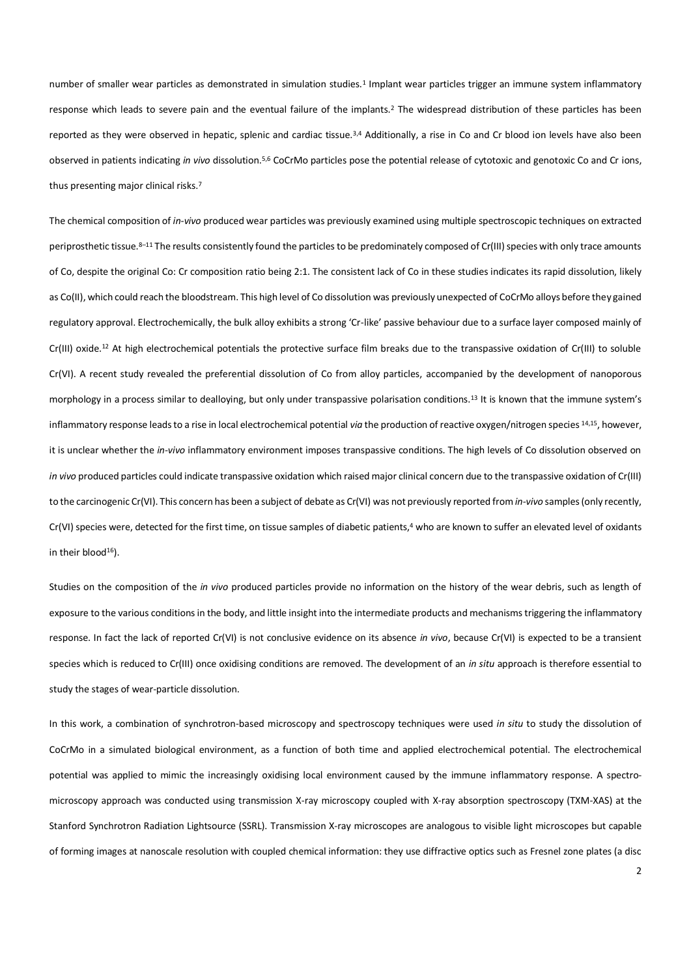number of smaller wear particles as demonstrated in simulation studies.<sup>1</sup> Implant wear particles trigger an immune system inflammatory response which leads to severe pain and the eventual failure of the implants.<sup>2</sup> The widespread distribution of these particles has been reported as they were observed in hepatic, splenic and cardiac tissue.<sup>3,4</sup> Additionally, a rise in Co and Cr blood ion levels have also been observed in patients indicating *in vivo* dissolution.5,6 CoCrMo particles pose the potential release of cytotoxic and genotoxic Co and Cr ions, thus presenting major clinical risks.<sup>7</sup>

The chemical composition of *in-vivo* produced wear particles was previously examined using multiple spectroscopic techniques on extracted periprosthetic tissue.8-11 The results consistently found the particles to be predominately composed of Cr(III) species with only trace amounts of Co, despite the original Co: Cr composition ratio being 2:1. The consistent lack of Co in these studies indicates its rapid dissolution, likely as Co(II), which could reach the bloodstream. This high level of Co dissolution was previously unexpected of CoCrMo alloys before they gained regulatory approval. Electrochemically, the bulk alloy exhibits a strong 'Cr-like' passive behaviour due to a surface layer composed mainly of Cr(III) oxide.12 At high electrochemical potentials the protective surface film breaks due to the transpassive oxidation of Cr(III) to soluble Cr(VI). A recent study revealed the preferential dissolution of Co from alloy particles, accompanied by the development of nanoporous morphology in a process similar to dealloying, but only under transpassive polarisation conditions.<sup>13</sup> It is known that the immune system's inflammatory response leads to a rise in local electrochemical potential *via* the production of reactive oxygen/nitrogen species 14,15, however, it is unclear whether the *in-vivo* inflammatory environment imposes transpassive conditions. The high levels of Co dissolution observed on *in vivo* produced particles could indicate transpassive oxidation which raised major clinical concern due to the transpassive oxidation of Cr(III) to the carcinogenic Cr(VI). This concern has been a subject of debate as Cr(VI) was not previously reported from *in-vivo* samples (only recently, Cr(VI) species were, detected for the first time, on tissue samples of diabetic patients,<sup>4</sup> who are known to suffer an elevated level of oxidants in their blood $16$ ).

Studies on the composition of the *in vivo* produced particles provide no information on the history of the wear debris, such as length of exposure to the various conditions in the body, and little insight into the intermediate products and mechanisms triggering the inflammatory response. In fact the lack of reported Cr(VI) is not conclusive evidence on its absence *in vivo*, because Cr(VI) is expected to be a transient species which is reduced to Cr(III) once oxidising conditions are removed. The development of an *in situ* approach is therefore essential to study the stages of wear-particle dissolution.

In this work, a combination of synchrotron-based microscopy and spectroscopy techniques were used *in situ* to study the dissolution of CoCrMo in a simulated biological environment, as a function of both time and applied electrochemical potential. The electrochemical potential was applied to mimic the increasingly oxidising local environment caused by the immune inflammatory response. A spectromicroscopy approach was conducted using transmission X-ray microscopy coupled with X-ray absorption spectroscopy (TXM-XAS) at the Stanford Synchrotron Radiation Lightsource (SSRL). Transmission X-ray microscopes are analogous to visible light microscopes but capable of forming images at nanoscale resolution with coupled chemical information: they use diffractive optics such as Fresnel zone plates (a disc

2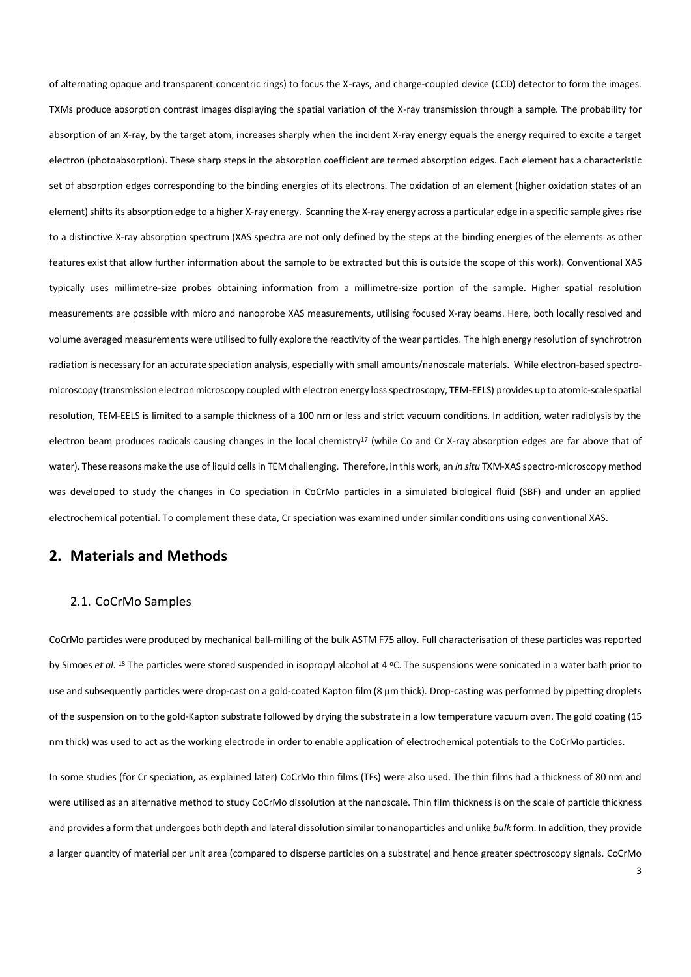of alternating opaque and transparent concentric rings) to focus the X-rays, and charge-coupled device (CCD) detector to form the images. TXMs produce absorption contrast images displaying the spatial variation of the X-ray transmission through a sample. The probability for absorption of an X-ray, by the target atom, increases sharply when the incident X-ray energy equals the energy required to excite a target electron (photoabsorption). These sharp steps in the absorption coefficient are termed absorption edges. Each element has a characteristic set of absorption edges corresponding to the binding energies of its electrons. The oxidation of an element (higher oxidation states of an element) shifts its absorption edge to a higher X-ray energy. Scanning the X-ray energy across a particular edge in a specific sample gives rise to a distinctive X-ray absorption spectrum (XAS spectra are not only defined by the steps at the binding energies of the elements as other features exist that allow further information about the sample to be extracted but this is outside the scope of this work). Conventional XAS typically uses millimetre-size probes obtaining information from a millimetre-size portion of the sample. Higher spatial resolution measurements are possible with micro and nanoprobe XAS measurements, utilising focused X-ray beams. Here, both locally resolved and volume averaged measurements were utilised to fully explore the reactivity of the wear particles. The high energy resolution of synchrotron radiation is necessary for an accurate speciation analysis, especially with small amounts/nanoscale materials. While electron-based spectromicroscopy (transmission electron microscopy coupled with electron energy loss spectroscopy, TEM-EELS) provides up to atomic-scale spatial resolution, TEM-EELS is limited to a sample thickness of a 100 nm or less and strict vacuum conditions. In addition, water radiolysis by the electron beam produces radicals causing changes in the local chemistry<sup>17</sup> (while Co and Cr X-ray absorption edges are far above that of water). These reasons make the use of liquid cells in TEM challenging. Therefore, in this work, an *in situ* TXM-XAS spectro-microscopy method was developed to study the changes in Co speciation in CoCrMo particles in a simulated biological fluid (SBF) and under an applied electrochemical potential. To complement these data, Cr speciation was examined under similar conditions using conventional XAS.

## **2. Materials and Methods**

#### 2.1. CoCrMo Samples

CoCrMo particles were produced by mechanical ball-milling of the bulk ASTM F75 alloy. Full characterisation of these particles was reported by Simoes *et al.* <sup>18</sup> The particles were stored suspended in isopropyl alcohol at 4 °C. The suspensions were sonicated in a water bath prior to use and subsequently particles were drop-cast on a gold-coated Kapton film (8 µm thick). Drop-casting was performed by pipetting droplets of the suspension on to the gold-Kapton substrate followed by drying the substrate in a low temperature vacuum oven. The gold coating (15 nm thick) was used to act as the working electrode in order to enable application of electrochemical potentials to the CoCrMo particles.

In some studies (for Cr speciation, as explained later) CoCrMo thin films (TFs) were also used. The thin films had a thickness of 80 nm and were utilised as an alternative method to study CoCrMo dissolution at the nanoscale. Thin film thickness is on the scale of particle thickness and provides a form that undergoes both depth and lateral dissolution similar to nanoparticles and unlike *bulk* form. In addition, they provide a larger quantity of material per unit area (compared to disperse particles on a substrate) and hence greater spectroscopy signals. CoCrMo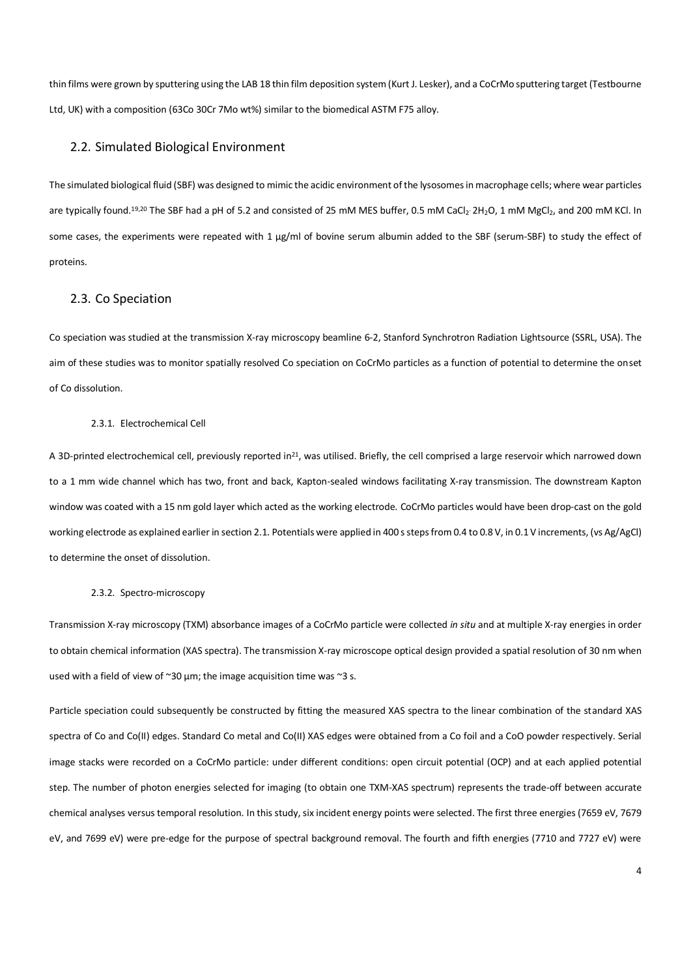thin films were grown by sputtering using the LAB 18 thin film deposition system (Kurt J. Lesker), and a CoCrMo sputtering target (Testbourne Ltd, UK) with a composition (63Co 30Cr 7Mo wt%) similar to the biomedical ASTM F75 alloy.

#### 2.2. Simulated Biological Environment

The simulated biological fluid (SBF) was designed to mimic the acidic environment of the lysosomes in macrophage cells; where wear particles are typically found.<sup>19,20</sup> The SBF had a pH of 5.2 and consisted of 25 mM MES buffer, 0.5 mM CaCl<sub>2</sub> 2H<sub>2</sub>O, 1 mM MgCl<sub>2</sub>, and 200 mM KCl. In some cases, the experiments were repeated with 1 µg/ml of bovine serum albumin added to the SBF (serum-SBF) to study the effect of proteins.

#### 2.3. Co Speciation

Co speciation was studied at the transmission X-ray microscopy beamline 6-2, Stanford Synchrotron Radiation Lightsource (SSRL, USA). The aim of these studies was to monitor spatially resolved Co speciation on CoCrMo particles as a function of potential to determine the onset of Co dissolution.

#### 2.3.1. Electrochemical Cell

A 3D-printed electrochemical cell, previously reported in<sup>21</sup>, was utilised. Briefly, the cell comprised a large reservoir which narrowed down to a 1 mm wide channel which has two, front and back, Kapton-sealed windows facilitating X-ray transmission. The downstream Kapton window was coated with a 15 nm gold layer which acted as the working electrode. CoCrMo particles would have been drop-cast on the gold working electrode as explained earlier in section 2.1. Potentials were applied in 400 s steps from 0.4 to 0.8 V, in 0.1 V increments, (vs Ag/AgCl) to determine the onset of dissolution.

#### 2.3.2. Spectro-microscopy

Transmission X-ray microscopy (TXM) absorbance images of a CoCrMo particle were collected *in situ* and at multiple X-ray energies in order to obtain chemical information (XAS spectra). The transmission X-ray microscope optical design provided a spatial resolution of 30 nm when used with a field of view of  $\sim 30 \mu m$ ; the image acquisition time was  $\sim 3 \text{ s}$ .

Particle speciation could subsequently be constructed by fitting the measured XAS spectra to the linear combination of the standard XAS spectra of Co and Co(II) edges. Standard Co metal and Co(II) XAS edges were obtained from a Co foil and a CoO powder respectively. Serial image stacks were recorded on a CoCrMo particle: under different conditions: open circuit potential (OCP) and at each applied potential step. The number of photon energies selected for imaging (to obtain one TXM-XAS spectrum) represents the trade-off between accurate chemical analyses versus temporal resolution. In this study, six incident energy points were selected. The first three energies (7659 eV, 7679 eV, and 7699 eV) were pre-edge for the purpose of spectral background removal. The fourth and fifth energies (7710 and 7727 eV) were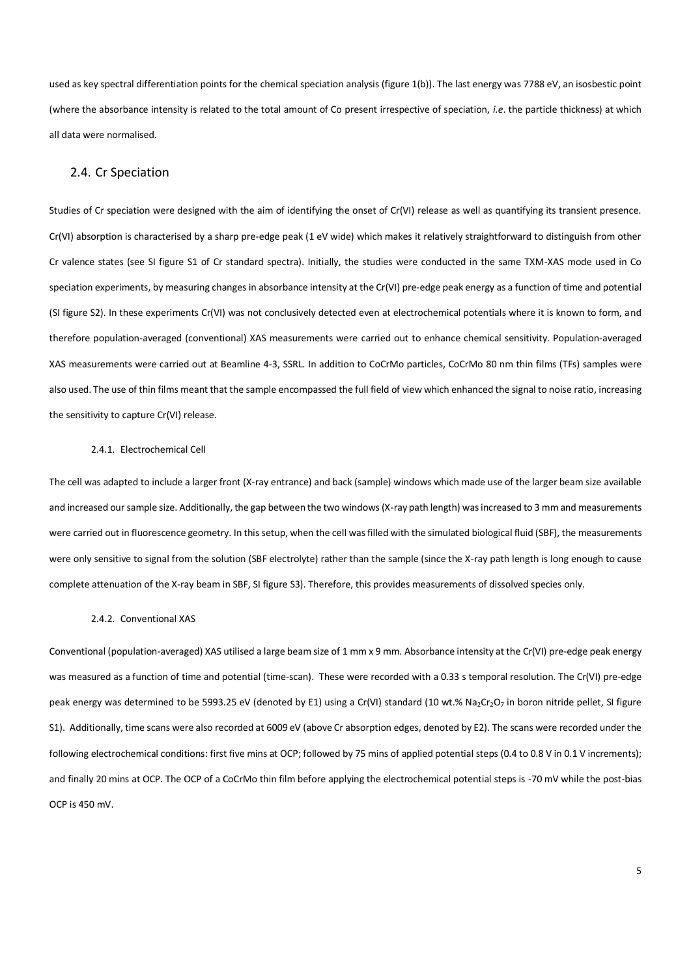used as key spectral differentiation points for the chemical speciation analysis (figure 1(b)). The last energy was 7788 eV, an isosbestic point (where the absorbance intensity is related to the total amount of Co present irrespective of speciation, *i.e*. the particle thickness) at which all data were normalised.

#### 2.4. Cr Speciation

Studies of Cr speciation were designed with the aim of identifying the onset of Cr(VI) release as well as quantifying its transient presence. Cr(VI) absorption is characterised by a sharp pre-edge peak (1 eV wide) which makes it relatively straightforward to distinguish from other Cr valence states (see SI figure S1 of Cr standard spectra). Initially, the studies were conducted in the same TXM-XAS mode used in Co speciation experiments, by measuring changes in absorbance intensity at the Cr(VI) pre-edge peak energy as a function of time and potential (SI figure S2). In these experiments Cr(VI) was not conclusively detected even at electrochemical potentials where it is known to form, and therefore population-averaged (conventional) XAS measurements were carried out to enhance chemical sensitivity. Population-averaged XAS measurements were carried out at Beamline 4-3, SSRL. In addition to CoCrMo particles, CoCrMo 80 nm thin films (TFs) samples were also used. The use of thin films meant that the sample encompassed the full field of view which enhanced the signal to noise ratio, increasing the sensitivity to capture Cr(VI) release.

#### 2.4.1. Electrochemical Cell

The cell was adapted to include a larger front (X-ray entrance) and back (sample) windows which made use of the larger beam size available and increased our sample size. Additionally, the gap between the two windows (X-ray path length) was increased to 3 mm and measurements were carried out in fluorescence geometry. In this setup, when the cell was filled with the simulated biological fluid (SBF), the measurements were only sensitive to signal from the solution (SBF electrolyte) rather than the sample (since the X-ray path length is long enough to cause complete attenuation of the X-ray beam in SBF, SI figure S3). Therefore, this provides measurements of dissolved species only.

#### 2.4.2. Conventional XAS

Conventional (population-averaged) XAS utilised a large beam size of 1 mm x 9 mm. Absorbance intensity at the Cr(VI) pre-edge peak energy was measured as a function of time and potential (time-scan). These were recorded with a 0.33 s temporal resolution. The Cr(VI) pre-edge peak energy was determined to be 5993.25 eV (denoted by E1) using a Cr(VI) standard (10 wt.% Na<sub>2</sub>Cr<sub>2</sub>O<sub>7</sub> in boron nitride pellet, SI figure S1). Additionally, time scans were also recorded at 6009 eV (above Cr absorption edges, denoted by E2). The scans were recorded under the following electrochemical conditions: first five mins at OCP; followed by 75 mins of applied potential steps (0.4 to 0.8 V in 0.1 V increments); and finally 20 mins at OCP. The OCP of a CoCrMo thin film before applying the electrochemical potential steps is -70 mV while the post-bias OCP is 450 mV.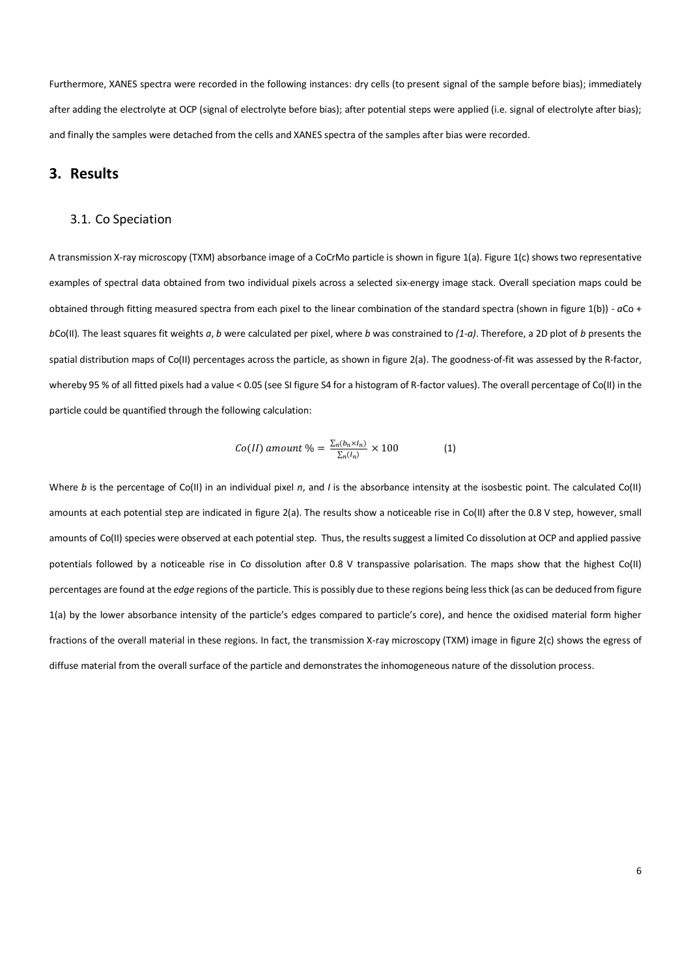Furthermore, XANES spectra were recorded in the following instances: dry cells (to present signal of the sample before bias); immediately after adding the electrolyte at OCP (signal of electrolyte before bias); after potential steps were applied (i.e. signal of electrolyte after bias); and finally the samples were detached from the cells and XANES spectra of the samples after bias were recorded.

## **3. Results**

#### 3.1. Co Speciation

A transmission X-ray microscopy (TXM) absorbance image of a CoCrMo particle is shown in figure 1(a). Figure 1(c) shows two representative examples of spectral data obtained from two individual pixels across a selected six-energy image stack. Overall speciation maps could be obtained through fitting measured spectra from each pixel to the linear combination of the standard spectra (shown in figure 1(b)) - *a*Co + *b*Co(II)*.* The least squares fit weights *a*, *b* were calculated per pixel, where *b* was constrained to *(1-a)*. Therefore, a 2D plot of *b* presents the spatial distribution maps of Co(II) percentages across the particle, as shown in figure 2(a). The goodness-of-fit was assessed by the R-factor, whereby 95 % of all fitted pixels had a value < 0.05 (see SI figure S4 for a histogram of R-factor values). The overall percentage of Co(II) in the particle could be quantified through the following calculation:

$$
Co(II) \text{ amount } \% = \frac{\sum_{n}(b_n \times I_n)}{\sum_{n}(I_n)} \times 100 \tag{1}
$$

Where *b* is the percentage of Co(II) in an individual pixel *n*, and *I* is the absorbance intensity at the isosbestic point. The calculated Co(II) amounts at each potential step are indicated in figure 2(a). The results show a noticeable rise in Co(II) after the 0.8 V step, however, small amounts of Co(II) species were observed at each potential step. Thus, the results suggest a limited Co dissolution at OCP and applied passive potentials followed by a noticeable rise in Co dissolution after 0.8 V transpassive polarisation. The maps show that the highest Co(II) percentages are found at the *edge* regions of the particle. This is possibly due to these regions being less thick (as can be deduced from figure 1(a) by the lower absorbance intensity of the particle's edges compared to particle's core), and hence the oxidised material form higher fractions of the overall material in these regions. In fact, the transmission X-ray microscopy (TXM) image in figure 2(c) shows the egress of diffuse material from the overall surface of the particle and demonstrates the inhomogeneous nature of the dissolution process.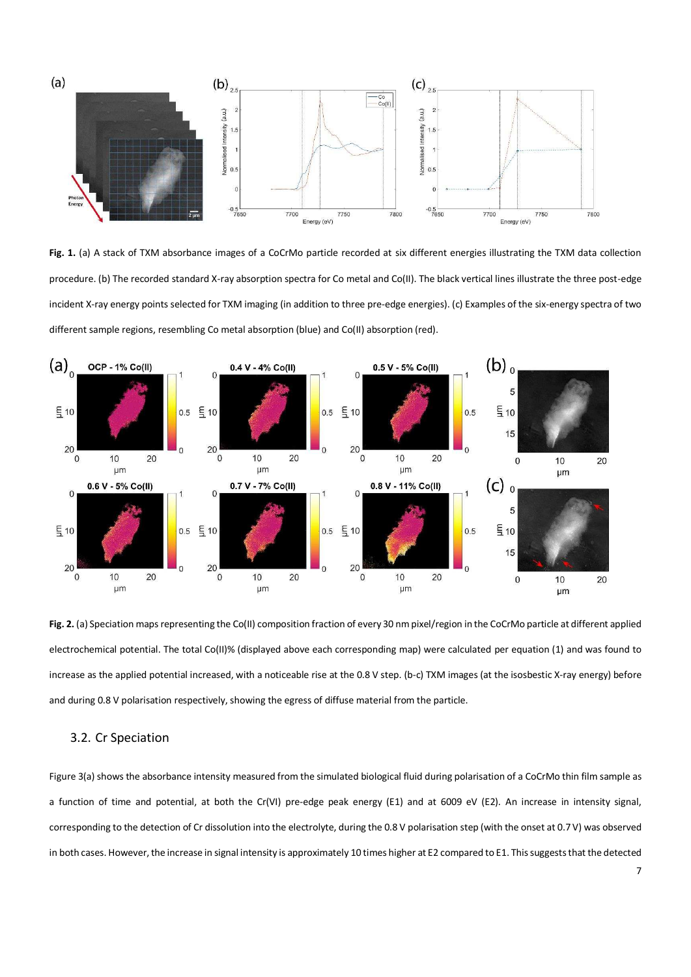

**Fig. 1.** (a) A stack of TXM absorbance images of a CoCrMo particle recorded at six different energies illustrating the TXM data collection procedure. (b) The recorded standard X-ray absorption spectra for Co metal and Co(II). The black vertical lines illustrate the three post-edge incident X-ray energy points selected for TXM imaging (in addition to three pre-edge energies). (c) Examples of the six-energy spectra of two different sample regions, resembling Co metal absorption (blue) and Co(II) absorption (red).



**Fig. 2.** (a) Speciation maps representing the Co(II) composition fraction of every 30 nm pixel/region in the CoCrMo particle at different applied electrochemical potential. The total Co(II)% (displayed above each corresponding map) were calculated per equation (1) and was found to increase as the applied potential increased, with a noticeable rise at the 0.8 V step. (b-c) TXM images (at the isosbestic X-ray energy) before and during 0.8 V polarisation respectively, showing the egress of diffuse material from the particle.

#### 3.2. Cr Speciation

Figure 3(a) shows the absorbance intensity measured from the simulated biological fluid during polarisation of a CoCrMo thin film sample as a function of time and potential, at both the Cr(VI) pre-edge peak energy (E1) and at 6009 eV (E2). An increase in intensity signal, corresponding to the detection of Cr dissolution into the electrolyte, during the 0.8 V polarisation step (with the onset at 0.7 V) was observed in both cases. However, the increase in signal intensity is approximately 10 times higher at E2 compared to E1. This suggests that the detected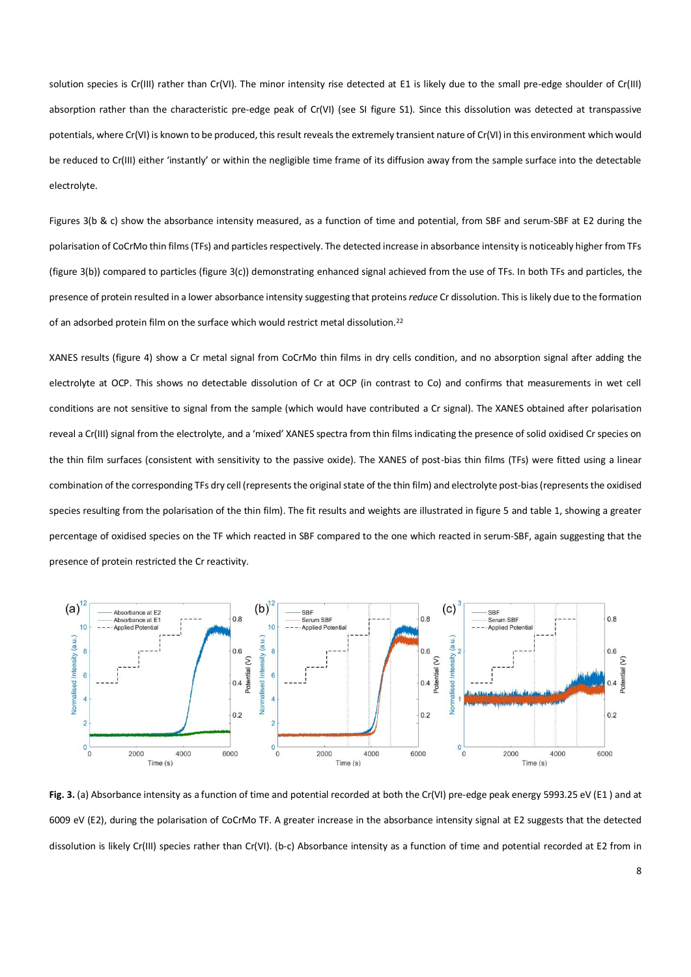solution species is Cr(III) rather than Cr(VI). The minor intensity rise detected at E1 is likely due to the small pre-edge shoulder of Cr(III) absorption rather than the characteristic pre-edge peak of Cr(VI) (see SI figure S1). Since this dissolution was detected at transpassive potentials, where Cr(VI) is known to be produced, this result reveals the extremely transient nature of Cr(VI) in this environment which would be reduced to Cr(III) either 'instantly' or within the negligible time frame of its diffusion away from the sample surface into the detectable electrolyte.

Figures 3(b & c) show the absorbance intensity measured, as a function of time and potential, from SBF and serum-SBF at E2 during the polarisation of CoCrMo thin films (TFs) and particles respectively. The detected increase in absorbance intensity is noticeably higher from TFs (figure 3(b)) compared to particles (figure 3(c)) demonstrating enhanced signal achieved from the use of TFs. In both TFs and particles, the presence of protein resulted in a lower absorbance intensity suggesting that proteins *reduce* Cr dissolution. This is likely due to the formation of an adsorbed protein film on the surface which would restrict metal dissolution.<sup>22</sup>

XANES results (figure 4) show a Cr metal signal from CoCrMo thin films in dry cells condition, and no absorption signal after adding the electrolyte at OCP. This shows no detectable dissolution of Cr at OCP (in contrast to Co) and confirms that measurements in wet cell conditions are not sensitive to signal from the sample (which would have contributed a Cr signal). The XANES obtained after polarisation reveal a Cr(III) signal from the electrolyte, and a 'mixed' XANES spectra from thin films indicating the presence of solid oxidised Cr species on the thin film surfaces (consistent with sensitivity to the passive oxide). The XANES of post-bias thin films (TFs) were fitted using a linear combination of the corresponding TFs dry cell (represents the original state of the thin film) and electrolyte post-bias (represents the oxidised species resulting from the polarisation of the thin film). The fit results and weights are illustrated in figure 5 and table 1, showing a greater percentage of oxidised species on the TF which reacted in SBF compared to the one which reacted in serum-SBF, again suggesting that the presence of protein restricted the Cr reactivity.



Fig. 3. (a) Absorbance intensity as a function of time and potential recorded at both the Cr(VI) pre-edge peak energy 5993.25 eV (E1) and at 6009 eV (E2), during the polarisation of CoCrMo TF. A greater increase in the absorbance intensity signal at E2 suggests that the detected dissolution is likely Cr(III) species rather than Cr(VI). (b-c) Absorbance intensity as a function of time and potential recorded at E2 from in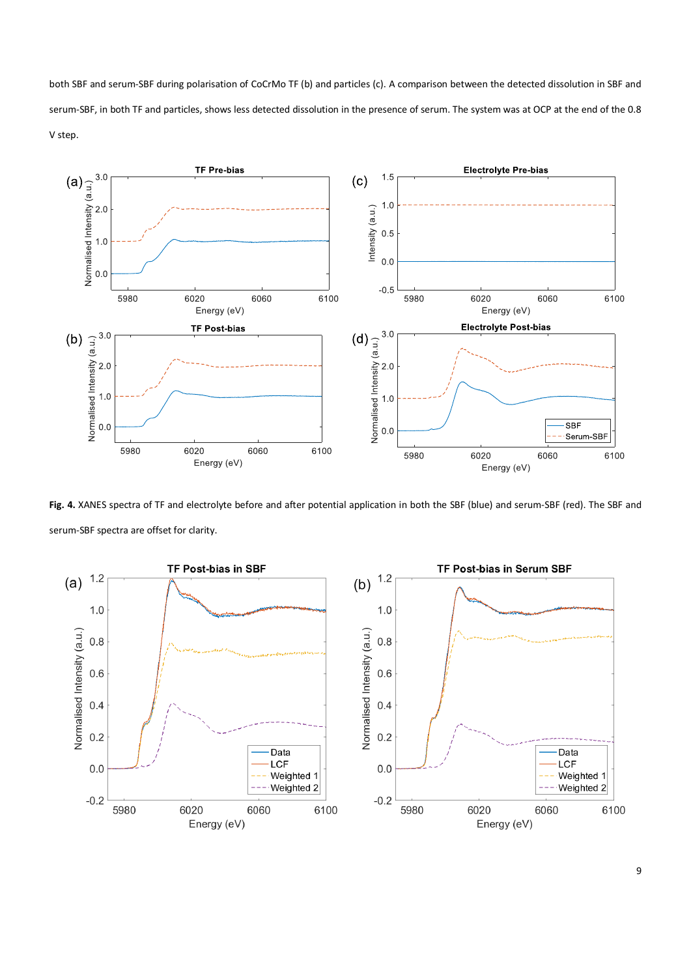both SBF and serum-SBF during polarisation of CoCrMo TF (b) and particles (c). A comparison between the detected dissolution in SBF and serum-SBF, in both TF and particles, shows less detected dissolution in the presence of serum. The system was at OCP at the end of the 0.8 V step.



**Fig. 4.** XANES spectra of TF and electrolyte before and after potential application in both the SBF (blue) and serum-SBF (red). The SBF and serum-SBF spectra are offset for clarity.

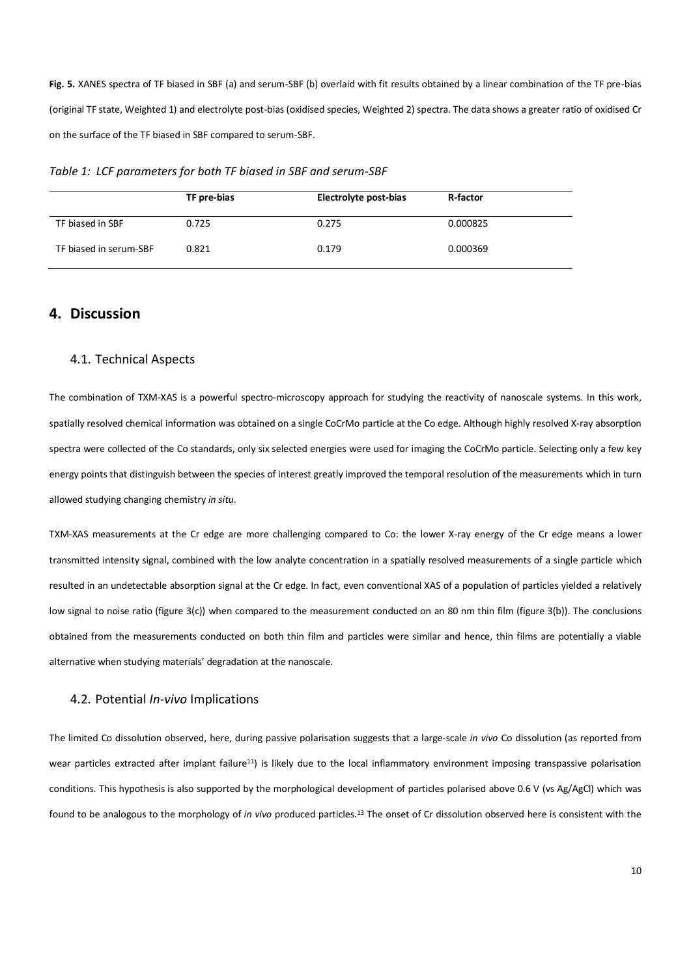**Fig. 5.** XANES spectra of TF biased in SBF (a) and serum-SBF (b) overlaid with fit results obtained by a linear combination of the TF pre-bias (original TF state, Weighted 1) and electrolyte post-bias (oxidised species, Weighted 2) spectra. The data shows a greater ratio of oxidised Cr on the surface of the TF biased in SBF compared to serum-SBF.

*Table 1: LCF parameters for both TF biased in SBF and serum-SBF* 

|                        | TF pre-bias | Electrolyte post-bias | R-factor |
|------------------------|-------------|-----------------------|----------|
| TF biased in SBF       | 0.725       | 0.275                 | 0.000825 |
| TF biased in serum-SBF | 0.821       | 0.179                 | 0.000369 |

## **4. Discussion**

#### 4.1. Technical Aspects

The combination of TXM-XAS is a powerful spectro-microscopy approach for studying the reactivity of nanoscale systems. In this work, spatially resolved chemical information was obtained on a single CoCrMo particle at the Co edge. Although highly resolved X-ray absorption spectra were collected of the Co standards, only six selected energies were used for imaging the CoCrMo particle. Selecting only a few key energy points that distinguish between the species of interest greatly improved the temporal resolution of the measurements which in turn allowed studying changing chemistry *in situ*.

TXM-XAS measurements at the Cr edge are more challenging compared to Co: the lower X-ray energy of the Cr edge means a lower transmitted intensity signal, combined with the low analyte concentration in a spatially resolved measurements of a single particle which resulted in an undetectable absorption signal at the Cr edge. In fact, even conventional XAS of a population of particles yielded a relatively low signal to noise ratio (figure 3(c)) when compared to the measurement conducted on an 80 nm thin film (figure 3(b)). The conclusions obtained from the measurements conducted on both thin film and particles were similar and hence, thin films are potentially a viable alternative when studying materials' degradation at the nanoscale.

#### 4.2. Potential *In-vivo* Implications

The limited Co dissolution observed, here, during passive polarisation suggests that a large-scale *in vivo* Co dissolution (as reported from wear particles extracted after implant failure<sup>11</sup>) is likely due to the local inflammatory environment imposing transpassive polarisation conditions. This hypothesis is also supported by the morphological development of particles polarised above 0.6 V (vs Ag/AgCl) which was found to be analogous to the morphology of *in vivo* produced particles.13 The onset of Cr dissolution observed here is consistent with the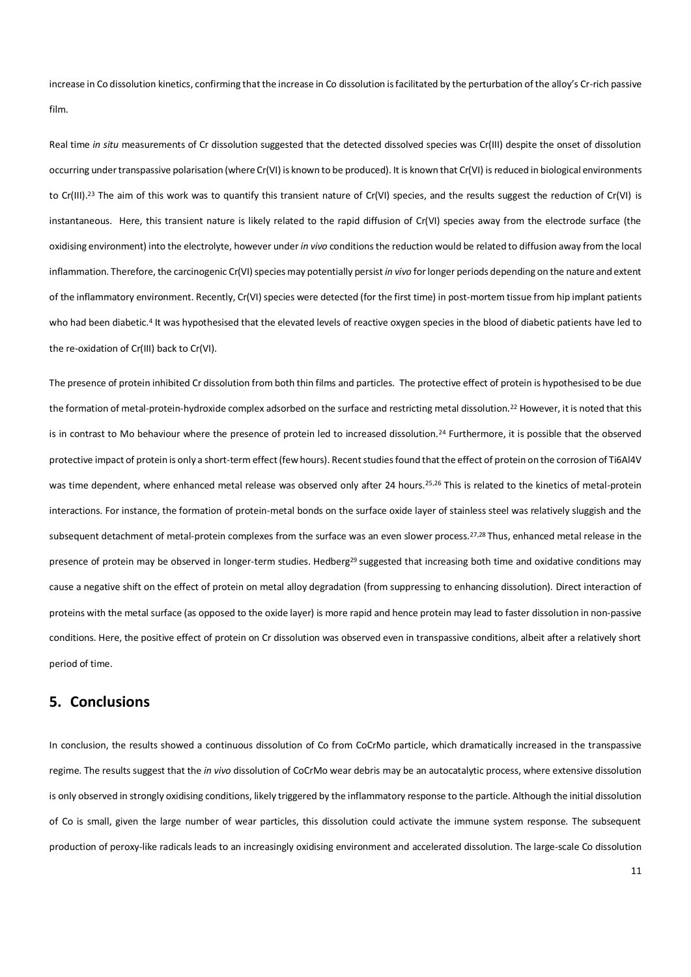increase in Co dissolution kinetics, confirming that the increase in Co dissolution is facilitated by the perturbation of the alloy's Cr-rich passive film.

Real time *in situ* measurements of Cr dissolution suggested that the detected dissolved species was Cr(III) despite the onset of dissolution occurring under transpassive polarisation (where Cr(VI) is known to be produced). It is known that Cr(VI) is reduced in biological environments to Cr(III).<sup>23</sup> The aim of this work was to quantify this transient nature of Cr(VI) species, and the results suggest the reduction of Cr(VI) is instantaneous. Here, this transient nature is likely related to the rapid diffusion of Cr(VI) species away from the electrode surface (the oxidising environment) into the electrolyte, however under *in vivo* conditions the reduction would be related to diffusion away from the local inflammation. Therefore, the carcinogenic Cr(VI) species may potentially persist *in vivo* for longer periods depending on the nature and extent of the inflammatory environment. Recently, Cr(VI) species were detected (for the first time) in post-mortem tissue from hip implant patients who had been diabetic.<sup>4</sup> It was hypothesised that the elevated levels of reactive oxygen species in the blood of diabetic patients have led to the re-oxidation of Cr(III) back to Cr(VI).

The presence of protein inhibited Cr dissolution from both thin films and particles. The protective effect of protein is hypothesised to be due the formation of metal-protein-hydroxide complex adsorbed on the surface and restricting metal dissolution.22 However, it is noted that this is in contrast to Mo behaviour where the presence of protein led to increased dissolution.<sup>24</sup> Furthermore, it is possible that the observed protective impact of protein is only a short-term effect (few hours). Recent studies found that the effect of protein on the corrosion of Ti6Al4V was time dependent, where enhanced metal release was observed only after 24 hours.25,26 This is related to the kinetics of metal-protein interactions. For instance, the formation of protein-metal bonds on the surface oxide layer of stainless steel was relatively sluggish and the subsequent detachment of metal-protein complexes from the surface was an even slower process.<sup>27,28</sup> Thus, enhanced metal release in the presence of protein may be observed in longer-term studies. Hedberg<sup>29</sup> suggested that increasing both time and oxidative conditions may cause a negative shift on the effect of protein on metal alloy degradation (from suppressing to enhancing dissolution). Direct interaction of proteins with the metal surface (as opposed to the oxide layer) is more rapid and hence protein may lead to faster dissolution in non-passive conditions. Here, the positive effect of protein on Cr dissolution was observed even in transpassive conditions, albeit after a relatively short period of time.

## **5. Conclusions**

In conclusion, the results showed a continuous dissolution of Co from CoCrMo particle, which dramatically increased in the transpassive regime. The results suggest that the *in vivo* dissolution of CoCrMo wear debris may be an autocatalytic process, where extensive dissolution is only observed in strongly oxidising conditions, likely triggered by the inflammatory response to the particle. Although the initial dissolution of Co is small, given the large number of wear particles, this dissolution could activate the immune system response. The subsequent production of peroxy-like radicals leads to an increasingly oxidising environment and accelerated dissolution. The large-scale Co dissolution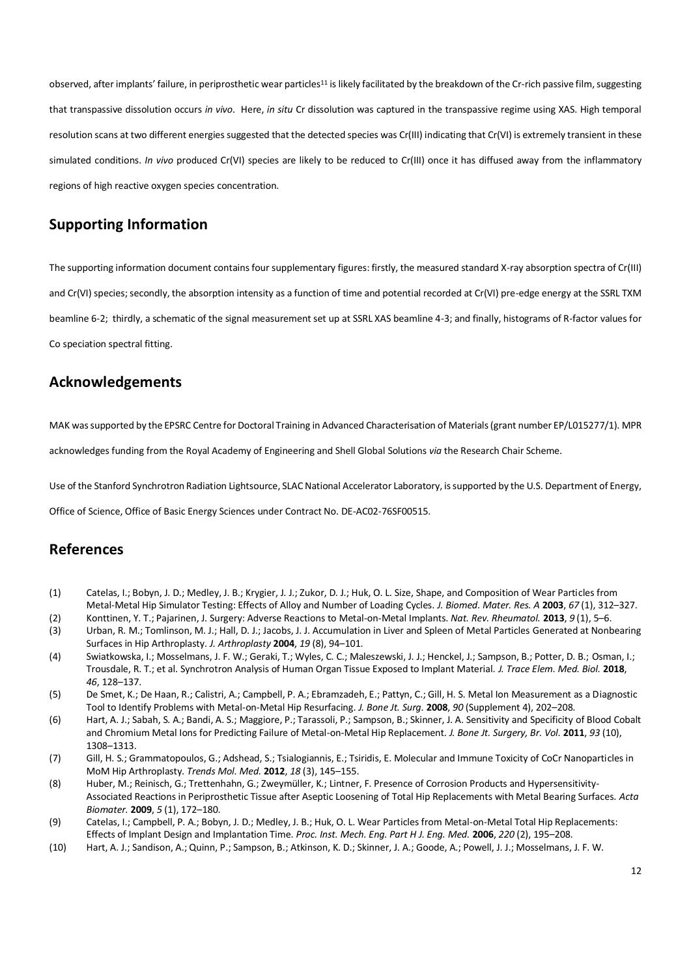observed, after implants' failure, in periprosthetic wear particles<sup>11</sup> is likely facilitated by the breakdown of the Cr-rich passive film, suggesting that transpassive dissolution occurs *in vivo*. Here, *in situ* Cr dissolution was captured in the transpassive regime using XAS. High temporal resolution scans at two different energies suggested that the detected species was Cr(III) indicating that Cr(VI) is extremely transient in these simulated conditions. *In vivo* produced Cr(VI) species are likely to be reduced to Cr(III) once it has diffused away from the inflammatory regions of high reactive oxygen species concentration.

## **Supporting Information**

The supporting information document contains four supplementary figures: firstly, the measured standard X-ray absorption spectra of Cr(III) and Cr(VI) species; secondly, the absorption intensity as a function of time and potential recorded at Cr(VI) pre-edge energy at the SSRL TXM beamline 6-2; thirdly, a schematic of the signal measurement set up at SSRL XAS beamline 4-3; and finally, histograms of R-factor values for Co speciation spectral fitting.

## **Acknowledgements**

MAK was supported by the EPSRC Centre for Doctoral Training in Advanced Characterisation of Materials (grant number EP/L015277/1). MPR

acknowledges funding from the Royal Academy of Engineering and Shell Global Solutions *via* the Research Chair Scheme.

Use of the Stanford Synchrotron Radiation Lightsource, SLAC National Accelerator Laboratory, is supported by the U.S. Department of Energy,

Office of Science, Office of Basic Energy Sciences under Contract No. DE-AC02-76SF00515.

## **References**

- (1) Catelas, I.; Bobyn, J. D.; Medley, J. B.; Krygier, J. J.; Zukor, D. J.; Huk, O. L. Size, Shape, and Composition of Wear Particles from Metal-Metal Hip Simulator Testing: Effects of Alloy and Number of Loading Cycles. *J. Biomed. Mater. Res. A* 2003, 67(1), 312-327.
- (2) Konttinen, Y. T.; Pajarinen, J. Surgery: Adverse Reactions to Metal-on-Metal Implants. *Nat. Rev. Rheumatol.* **2013**, 9(1), 5–6.
- (3) Urban, R. M.; Tomlinson, M. J.; Hall, D. J.; Jacobs, J. J. Accumulation in Liver and Spleen of Metal Particles Generated at Nonbearing Surfaces in Hip Arthroplasty. *J. Arthroplasty* 2004, 19 (8), 94-101.
- (4) Swiatkowska, I.; Mosselmans, J. F. W.; Geraki, T.; Wyles, C. C.; Maleszewski, J. J.; Henckel, J.; Sampson, B.; Potter, D. B.; Osman, I.; Trousdale, R. T.; et al. Synchrotron Analysis of Human Organ Tissue Exposed to Implant Material. *J. Trace Elem. Med. Biol.* **2018**, 46, 128-137.
- (5) De Smet, K.; De Haan, R.; Calistri, A.; Campbell, P. A.; Ebramzadeh, E.; Pattyn, C.; Gill, H. S. Metal Ion Measurement as a Diagnostic Tool to Identify Problems with Metal-on-Metal Hip Resurfacing. *J. Bone Jt. Surg.* **2008**, 90 (Supplement 4), 202–208.
- (6) Hart, A. J.; Sabah, S. A.; Bandi, A. S.; Maggiore, P.; Tarassoli, P.; Sampson, B.; Skinner, J. A. Sensitivity and Specificity of Blood Cobalt and Chromium Metal Ions for Predicting Failure of Metal-on-Metal Hip Replacement. *J. Bone Jt. Surgery, Br. Vol.* **2011**, *93* (10), 1308-1313
- (7) Gill, H. S.; Grammatopoulos, G.; Adshead, S.; Tsialogiannis, E.; Tsiridis, E. Molecular and Immune Toxicity of CoCr Nanoparticles in MoM Hip Arthroplasty. *Trends Mol. Med.* **2012**, 18 (3), 145-155.
- (8) Huber, M.; Reinisch, G.; Trettenhahn, G.; Zweymüller, K.; Lintner, F. Presence of Corrosion Products and Hypersensitivity-Associated Reactions in Periprosthetic Tissue after Aseptic Loosening of Total Hip Replacements with Metal Bearing Surfaces. *Acta Biomater.* **2009**, *5* (1), 172-180.
- (9) Catelas, I.; Campbell, P. A.; Bobyn, J. D.; Medley, J. B.; Huk, O. L. Wear Particles from Metal-on-Metal Total Hip Replacements: Effects of Implant Design and Implantation Time. Proc. Inst. Mech. Eng. Part H J. Eng. Med. 2006, 220 (2), 195-208.
- (10) Hart, A. J.; Sandison, A.; Quinn, P.; Sampson, B.; Atkinson, K. D.; Skinner, J. A.; Goode, A.; Powell, J. J.; Mosselmans, J. F. W.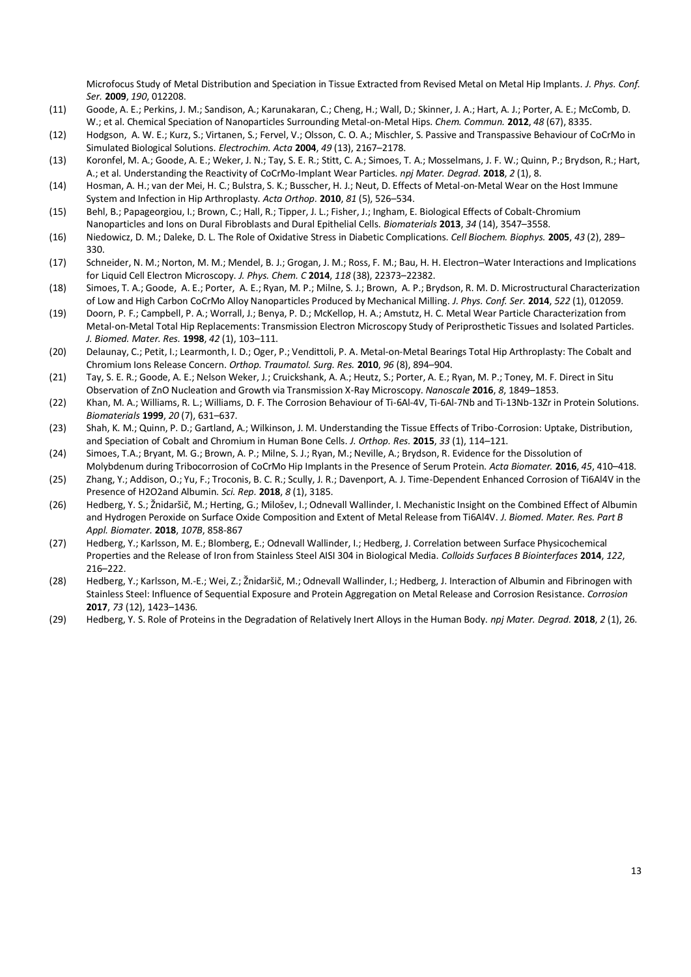Microfocus Study of Metal Distribution and Speciation in Tissue Extracted from Revised Metal on Metal Hip Implants. *J. Phys. Conf. Ser.* **2009**, *190*, 012208.

- (11) Goode, A. E.; Perkins, J. M.; Sandison, A.; Karunakaran, C.; Cheng, H.; Wall, D.; Skinner, J. A.; Hart, A. J.; Porter, A. E.; McComb, D. W.; et al. Chemical Speciation of Nanoparticles Surrounding Metal-on-Metal Hips. *Chem. Commun.* **2012**, *48* (67), 8335.
- (12) Hodgson, A. W. E.; Kurz, S.; Virtanen, S.; Fervel, V.; Olsson, C. O. A.; Mischler, S. Passive and Transpassive Behaviour of CoCrMo in Simulated Biological Solutions. *Electrochim. Acta* 2004, 49 (13), 2167-2178.
- (13) Koronfel, M. A.; Goode, A. E.; Weker, J. N.; Tay, S. E. R.; Stitt, C. A.; Simoes, T. A.; Mosselmans, J. F. W.; Quinn, P.; Brydson, R.; Hart, A.; et al. Understanding the Reactivity of CoCrMo-Implant Wear Particles. *npj Mater. Degrad.* **2018**, *2* (1), 8.
- (14) Hosman, A. H.; van der Mei, H. C.; Bulstra, S. K.; Busscher, H. J.; Neut, D. Effects of Metal-on-Metal Wear on the Host Immune System and Infection in Hip Arthroplasty. *Acta Orthop.* **2010**, 81 (5), 526–534.
- (15) Behl, B.; Papageorgiou, I.; Brown, C.; Hall, R.; Tipper, J. L.; Fisher, J.; Ingham, E. Biological Effects of Cobalt-Chromium Nanoparticles and Ions on Dural Fibroblasts and Dural Epithelial Cells. *Biomaterials* 2013, 34 (14), 3547-3558.
- (16) Niedowicz, D. M.; Daleke, D. L. The Role of Oxidative Stress in Diabetic Complications. *Cell Biochem. Biophys.* **2005**, *43* (2), 289に 330.
- (17) Schneider, N. M.; Norton, M. M.; Mendel, B. J.; Grogan, J. M.; Ross, F. M.; Bau, H. H. Electron-Water Interactions and Implications for Liquid Cell Electron Microscopy. *J. Phys. Chem. C* 2014, 118 (38), 22373-22382.
- (18) Simoes, T. A.; Goode, A. E.; Porter, A. E.; Ryan, M. P.; Milne, S. J.; Brown, A. P.; Brydson, R. M. D. Microstructural Characterization of Low and High Carbon CoCrMo Alloy Nanoparticles Produced by Mechanical Milling. *J. Phys. Conf. Ser.* **2014**, *522* (1), 012059.
- (19) Doorn, P. F.; Campbell, P. A.; Worrall, J.; Benya, P. D.; McKellop, H. A.; Amstutz, H. C. Metal Wear Particle Characterization from Metal-on-Metal Total Hip Replacements: Transmission Electron Microscopy Study of Periprosthetic Tissues and Isolated Particles. *J. Biomed. Mater. Res.* **1998**,  $42$  (1), 103-111.
- (20) Delaunay, C.; Petit, I.; Learmonth, I. D.; Oger, P.; Vendittoli, P. A. Metal-on-Metal Bearings Total Hip Arthroplasty: The Cobalt and Chromium Ions Release Concern. *Orthop. Traumatol. Surg. Res.* 2010, 96 (8), 894-904.
- (21) Tay, S. E. R.; Goode, A. E.; Nelson Weker, J.; Cruickshank, A. A.; Heutz, S.; Porter, A. E.; Ryan, M. P.; Toney, M. F. Direct in Situ Observation of ZnO Nucleation and Growth via Transmission X-Ray Microscopy. *Nanoscale* 2016, 8, 1849–1853.
- (22) Khan, M. A.; Williams, R. L.; Williams, D. F. The Corrosion Behaviour of Ti-6Al-4V, Ti-6Al-7Nb and Ti-13Nb-13Zr in Protein Solutions. *Biomaterials* **1999**, *20* (7), 631-637.
- (23) Shah, K. M.; Quinn, P. D.; Gartland, A.; Wilkinson, J. M. Understanding the Tissue Effects of Tribo-Corrosion: Uptake, Distribution, and Speciation of Cobalt and Chromium in Human Bone Cells. *J. Orthop. Res.* 2015, 33 (1), 114–121.
- (24) Simoes, T.A.; Bryant, M. G.; Brown, A. P.; Milne, S. J.; Ryan, M.; Neville, A.; Brydson, R. Evidence for the Dissolution of Molybdenum during Tribocorrosion of CoCrMo Hip Implants in the Presence of Serum Protein. *Acta Biomater.* **2016**, 45, 410-418.
- (25) Zhang, Y.; Addison, O.; Yu, F.; Troconis, B. C. R.; Scully, J. R.; Davenport, A. J. Time-Dependent Enhanced Corrosion of Ti6Al4V in the Presence of H2O2and Albumin. *Sci. Rep.* **2018**, *8* (1), 3185.
- (26) Hedberg, Y. S.; Žnidaršič, M.; Herting, G.; Milošey, I.; Odnevall Wallinder, I. Mechanistic Insight on the Combined Effect of Albumin and Hydrogen Peroxide on Surface Oxide Composition and Extent of Metal Release from Ti6Al4V. *J. Biomed. Mater. Res. Part B Appl. Biomater.* **2018**, *107B*, 858-867
- (27) Hedberg, Y.; Karlsson, M. E.; Blomberg, E.; Odnevall Wallinder, I.; Hedberg, J. Correlation between Surface Physicochemical Properties and the Release of Iron from Stainless Steel AISI 304 in Biological Media. *Colloids Surfaces B Biointerfaces* **2014**, *122*,  $216 - 222$ .
- (28) Hedberg, Y.; Karlsson, M.-E.; Wei, Z.; Žnidaršič, M.; Odnevall Wallinder, I.; Hedberg, J. Interaction of Albumin and Fibrinogen with Stainless Steel: Influence of Sequential Exposure and Protein Aggregation on Metal Release and Corrosion Resistance. *Corrosion* **2017**, 73 (12), 1423-1436.
- (29) Hedberg, Y. S. Role of Proteins in the Degradation of Relatively Inert Alloys in the Human Body. *npj Mater. Degrad.* **2018**, *2* (1), 26.